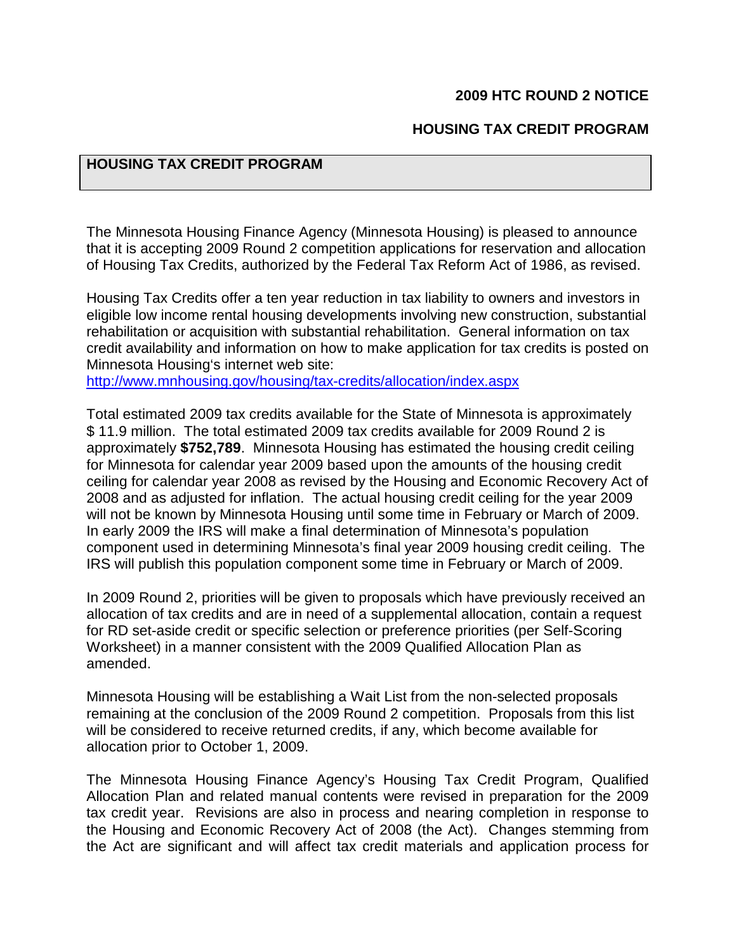#### **2009 HTC ROUND 2 NOTICE**

#### **HOUSING TAX CREDIT PROGRAM**

# **HOUSING TAX CREDIT PROGRAM**

The Minnesota Housing Finance Agency (Minnesota Housing) is pleased to announce that it is accepting 2009 Round 2 competition applications for reservation and allocation of Housing Tax Credits, authorized by the Federal Tax Reform Act of 1986, as revised.

Housing Tax Credits offer a ten year reduction in tax liability to owners and investors in eligible low income rental housing developments involving new construction, substantial rehabilitation or acquisition with substantial rehabilitation. General information on tax credit availability and information on how to make application for tax credits is posted on Minnesota Housing's internet web site:

[http://www.mnhousing.gov/housing/tax-credits/allocation/index.asp](http://www.mnhousing.gov/housing/tax-credits/allocation/index.aspx)x

Total estimated 2009 tax credits available for the State of Minnesota is approximately \$ 11.9 million. The total estimated 2009 tax credits available for 2009 Round 2 is approximately **\$752,789**. Minnesota Housing has estimated the housing credit ceiling for Minnesota for calendar year 2009 based upon the amounts of the housing credit ceiling for calendar year 2008 as revised by the Housing and Economic Recovery Act of 2008 and as adjusted for inflation. The actual housing credit ceiling for the year 2009 will not be known by Minnesota Housing until some time in February or March of 2009. In early 2009 the IRS will make a final determination of Minnesota's population component used in determining Minnesota's final year 2009 housing credit ceiling. The IRS will publish this population component some time in February or March of 2009.

In 2009 Round 2, priorities will be given to proposals which have previously received an allocation of tax credits and are in need of a supplemental allocation, contain a request for RD set-aside credit or specific selection or preference priorities (per Self-Scoring Worksheet) in a manner consistent with the 2009 Qualified Allocation Plan as amended.

Minnesota Housing will be establishing a Wait List from the non-selected proposals remaining at the conclusion of the 2009 Round 2 competition. Proposals from this list will be considered to receive returned credits, if any, which become available for allocation prior to October 1, 2009.

The Minnesota Housing Finance Agency's Housing Tax Credit Program, Qualified Allocation Plan and related manual contents were revised in preparation for the 2009 tax credit year. Revisions are also in process and nearing completion in response to the Housing and Economic Recovery Act of 2008 (the Act). Changes stemming from the Act are significant and will affect tax credit materials and application process for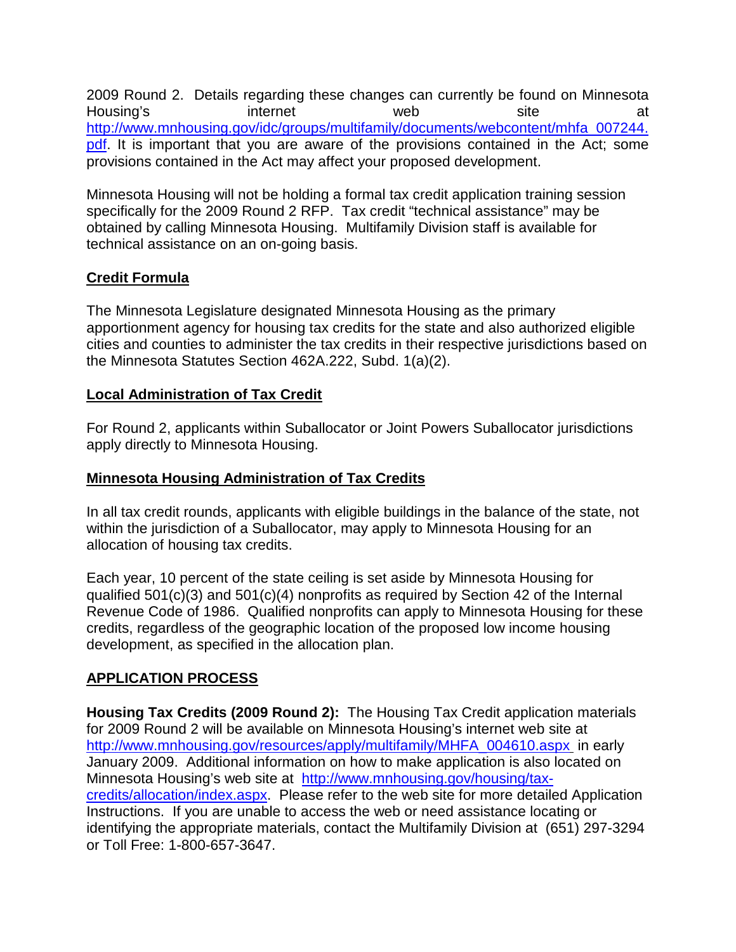2009 Round 2. Details regarding these changes can currently be found on Minnesota Housing's internet web site at [http://www.mnhousing.gov/idc/groups/multifamily/documents/webcontent/mhfa\\_007244.](http://www.mnhousing.gov/idc/groups/multifamily/documents/webcontent/mhfa_007244.pdf) [pdf.](http://www.mnhousing.gov/idc/groups/multifamily/documents/webcontent/mhfa_007244.pdf) It is important that you are aware of the provisions contained in the Act; some provisions contained in the Act may affect your proposed development.

Minnesota Housing will not be holding a formal tax credit application training session specifically for the 2009 Round 2 RFP. Tax credit "technical assistance" may be obtained by calling Minnesota Housing. Multifamily Division staff is available for technical assistance on an on-going basis.

# **Credit Formula**

The Minnesota Legislature designated Minnesota Housing as the primary apportionment agency for housing tax credits for the state and also authorized eligible cities and counties to administer the tax credits in their respective jurisdictions based on the Minnesota Statutes Section 462A.222, Subd. 1(a)(2).

# **Local Administration of Tax Credit**

For Round 2, applicants within Suballocator or Joint Powers Suballocator jurisdictions apply directly to Minnesota Housing.

# **Minnesota Housing Administration of Tax Credits**

In all tax credit rounds, applicants with eligible buildings in the balance of the state, not within the jurisdiction of a Suballocator, may apply to Minnesota Housing for an allocation of housing tax credits.

Each year, 10 percent of the state ceiling is set aside by Minnesota Housing for qualified 501(c)(3) and 501(c)(4) nonprofits as required by Section 42 of the Internal Revenue Code of 1986. Qualified nonprofits can apply to Minnesota Housing for these credits, regardless of the geographic location of the proposed low income housing development, as specified in the allocation plan.

# **APPLICATION PROCESS**

**Housing Tax Credits (2009 Round 2):** The Housing Tax Credit application materials for 2009 Round 2 will be available on Minnesota Housing's internet web site at [http://www.mnhousing.gov/resources/apply/multifamily/MHFA\\_004610.asp](http://www.mnhousing.gov/resources/apply/multifamily/MHFA_004610.aspx)x in early January 2009. Additional information on how to make application is also located on Minnesota Housing's web site at [http://www.mnhousing.gov/housing/tax](http://www.mnhousing.gov/housing/tax-credits/allocation/index.aspx)[credits/allocation/index.aspx](http://www.mnhousing.gov/housing/tax-credits/allocation/index.aspx). Please refer to the web site for more detailed Application Instructions. If you are unable to access the web or need assistance locating or identifying the appropriate materials, contact the Multifamily Division at (651) 297-3294 or Toll Free: 1-800-657-3647.